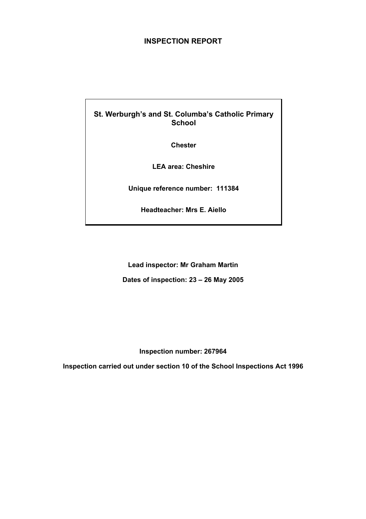## **INSPECTION REPORT**

## **St. Werburgh's and St. Columba's Catholic Primary School**

**Chester** 

**LEA area: Cheshire** 

**Unique reference number: 111384** 

**Headteacher: Mrs E. Aiello** 

**Lead inspector: Mr Graham Martin Dates of inspection: 23 – 26 May 2005** 

**Inspection number: 267964** 

**Inspection carried out under section 10 of the School Inspections Act 1996**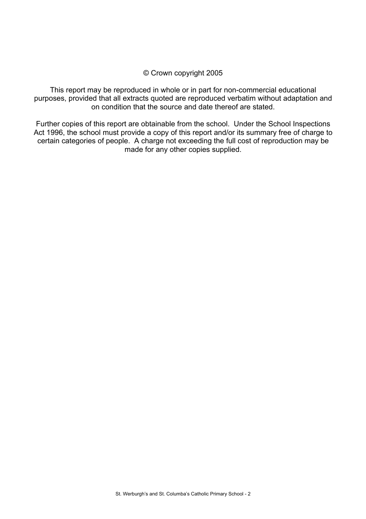## © Crown copyright 2005

This report may be reproduced in whole or in part for non-commercial educational purposes, provided that all extracts quoted are reproduced verbatim without adaptation and on condition that the source and date thereof are stated.

Further copies of this report are obtainable from the school. Under the School Inspections Act 1996, the school must provide a copy of this report and/or its summary free of charge to certain categories of people. A charge not exceeding the full cost of reproduction may be made for any other copies supplied.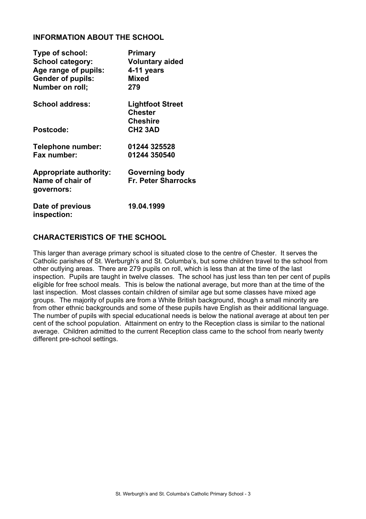## **INFORMATION ABOUT THE SCHOOL**

| Type of school:<br><b>School category:</b><br>Age range of pupils:<br><b>Gender of pupils:</b><br>Number on roll; | <b>Primary</b><br><b>Voluntary aided</b><br>4-11 years<br><b>Mixed</b><br>279 |
|-------------------------------------------------------------------------------------------------------------------|-------------------------------------------------------------------------------|
| <b>School address:</b>                                                                                            | <b>Lightfoot Street</b><br><b>Chester</b>                                     |
| Postcode:                                                                                                         | <b>Cheshire</b><br><b>CH2 3AD</b>                                             |
| <b>Telephone number:</b><br>Fax number:                                                                           | 01244 325528<br>01244 350540                                                  |
| <b>Appropriate authority:</b><br>Name of chair of<br>governors:                                                   | Governing body<br><b>Fr. Peter Sharrocks</b>                                  |
| Date of previous<br>inspection:                                                                                   | 19.04.1999                                                                    |

## **CHARACTERISTICS OF THE SCHOOL**

This larger than average primary school is situated close to the centre of Chester. It serves the Catholic parishes of St. Werburgh's and St. Columba's, but some children travel to the school from other outlying areas. There are 279 pupils on roll, which is less than at the time of the last inspection. Pupils are taught in twelve classes. The school has just less than ten per cent of pupils eligible for free school meals. This is below the national average, but more than at the time of the last inspection. Most classes contain children of similar age but some classes have mixed age groups. The majority of pupils are from a White British background, though a small minority are from other ethnic backgrounds and some of these pupils have English as their additional language. The number of pupils with special educational needs is below the national average at about ten per cent of the school population. Attainment on entry to the Reception class is similar to the national average. Children admitted to the current Reception class came to the school from nearly twenty different pre-school settings.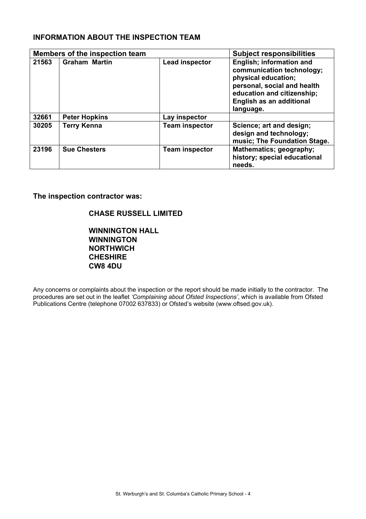## **INFORMATION ABOUT THE INSPECTION TEAM**

| Members of the inspection team |                      |                       | <b>Subject responsibilities</b>                                                                                                                                                    |
|--------------------------------|----------------------|-----------------------|------------------------------------------------------------------------------------------------------------------------------------------------------------------------------------|
| 21563                          | <b>Graham Martin</b> | <b>Lead inspector</b> | English; information and<br>communication technology;<br>physical education;<br>personal, social and health<br>education and citizenship;<br>English as an additional<br>language. |
| 32661                          | <b>Peter Hopkins</b> | Lay inspector         |                                                                                                                                                                                    |
| 30205                          | <b>Terry Kenna</b>   | <b>Team inspector</b> | Science; art and design;<br>design and technology;<br>music; The Foundation Stage.                                                                                                 |
| 23196                          | <b>Sue Chesters</b>  | <b>Team inspector</b> | Mathematics; geography;<br>history; special educational<br>needs.                                                                                                                  |

**The inspection contractor was:** 

## **CHASE RUSSELL LIMITED**

**WINNINGTON HALL WINNINGTON NORTHWICH CHESHIRE CW8 4DU** 

Any concerns or complaints about the inspection or the report should be made initially to the contractor. The procedures are set out in the leaflet *'Complaining about Ofsted Inspections'*, which is available from Ofsted Publications Centre (telephone 07002 637833) or Ofsted's website (www.oftsed.gov.uk).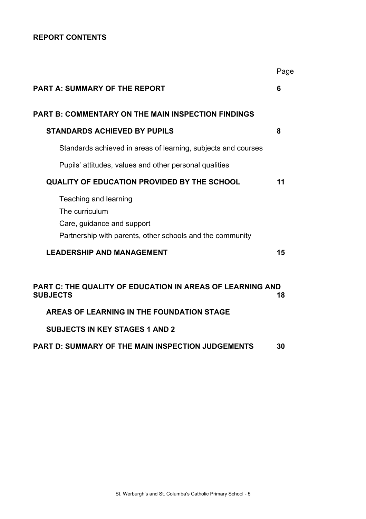## **REPORT CONTENTS**

|                                                                                                                                    | Page |
|------------------------------------------------------------------------------------------------------------------------------------|------|
| <b>PART A: SUMMARY OF THE REPORT</b>                                                                                               | 6    |
| PART B: COMMENTARY ON THE MAIN INSPECTION FINDINGS                                                                                 |      |
| <b>STANDARDS ACHIEVED BY PUPILS</b>                                                                                                | 8    |
| Standards achieved in areas of learning, subjects and courses                                                                      |      |
| Pupils' attitudes, values and other personal qualities                                                                             |      |
| <b>QUALITY OF EDUCATION PROVIDED BY THE SCHOOL</b>                                                                                 | 11   |
| Teaching and learning<br>The curriculum<br>Care, guidance and support<br>Partnership with parents, other schools and the community |      |
| <b>LEADERSHIP AND MANAGEMENT</b>                                                                                                   | 15   |
| PART C: THE QUALITY OF EDUCATION IN AREAS OF LEARNING AND<br><b>SUBJECTS</b>                                                       | 18   |
| AREAS OF LEARNING IN THE FOUNDATION STAGE                                                                                          |      |
| <b>SUBJECTS IN KEY STAGES 1 AND 2</b>                                                                                              |      |
| PART D: SUMMARY OF THE MAIN INSPECTION JUDGEMENTS                                                                                  | 30   |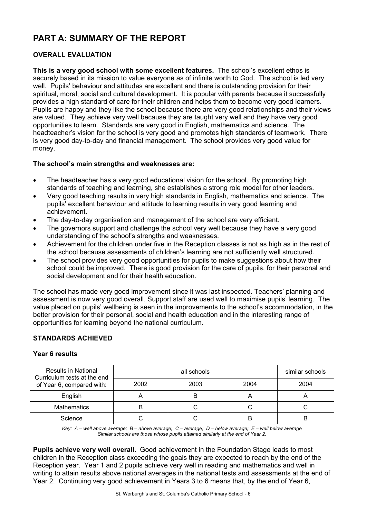# **PART A: SUMMARY OF THE REPORT**

## **OVERALL EVALUATION**

**This is a very good school with some excellent features.** The school's excellent ethos is securely based in its mission to value everyone as of infinite worth to God. The school is led very well. Pupils' behaviour and attitudes are excellent and there is outstanding provision for their spiritual, moral, social and cultural development. It is popular with parents because it successfully provides a high standard of care for their children and helps them to become very good learners. Pupils are happy and they like the school because there are very good relationships and their views are valued. They achieve very well because they are taught very well and they have very good opportunities to learn. Standards are very good in English, mathematics and science. The headteacher's vision for the school is very good and promotes high standards of teamwork. There is very good day-to-day and financial management. The school provides very good value for money.

## **The school's main strengths and weaknesses are:**

- The headteacher has a very good educational vision for the school. By promoting high standards of teaching and learning, she establishes a strong role model for other leaders.
- Very good teaching results in very high standards in English, mathematics and science. The pupils' excellent behaviour and attitude to learning results in very good learning and achievement.
- The day-to-day organisation and management of the school are very efficient.
- The governors support and challenge the school very well because they have a very good understanding of the school's strengths and weaknesses.
- Achievement for the children under five in the Reception classes is not as high as in the rest of the school because assessments of children's learning are not sufficiently well structured.
- The school provides very good opportunities for pupils to make suggestions about how their school could be improved. There is good provision for the care of pupils, for their personal and social development and for their health education.

The school has made very good improvement since it was last inspected. Teachers' planning and assessment is now very good overall. Support staff are used well to maximise pupils' learning. The value placed on pupils' wellbeing is seen in the improvements to the school's accommodation, in the better provision for their personal, social and health education and in the interesting range of opportunities for learning beyond the national curriculum.

#### **STANDARDS ACHIEVED**

#### **Year 6 results**

| <b>Results in National</b><br>Curriculum tests at the end |      | similar schools |      |      |
|-----------------------------------------------------------|------|-----------------|------|------|
| of Year 6, compared with:                                 | 2002 | 2003            | 2004 | 2004 |
| English                                                   |      | B               | n    |      |
| <b>Mathematics</b>                                        |      |                 |      |      |
| Science                                                   |      |                 |      | B    |

*Key: A – well above average; B – above average; C – average; D – below average; E – well below average Similar schools are those whose pupils attained similarly at the end of Year 2.* 

**Pupils achieve very well overall.** Good achievement in the Foundation Stage leads to most children in the Reception class exceeding the goals they are expected to reach by the end of the Reception year. Year 1 and 2 pupils achieve very well in reading and mathematics and well in writing to attain results above national averages in the national tests and assessments at the end of Year 2. Continuing very good achievement in Years 3 to 6 means that, by the end of Year 6,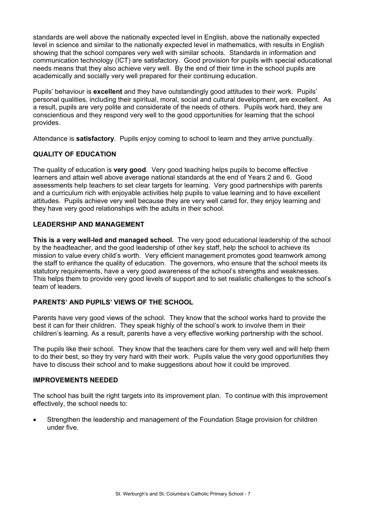standards are well above the nationally expected level in English, above the nationally expected level in science and similar to the nationally expected level in mathematics, with results in English showing that the school compares very well with similar schools. Standards in information and communication technology (ICT) are satisfactory. Good provision for pupils with special educational needs means that they also achieve very well. By the end of their time in the school pupils are academically and socially very well prepared for their continuing education.

Pupils' behaviour is **excellent** and they have outstandingly good attitudes to their work. Pupils' personal qualities, including their spiritual, moral, social and cultural development, are excellent. As a result, pupils are very polite and considerate of the needs of others. Pupils work hard, they are conscientious and they respond very well to the good opportunities for learning that the school provides.

Attendance is **satisfactory**. Pupils enjoy coming to school to learn and they arrive punctually.

## **QUALITY OF EDUCATION**

The quality of education is **very good**. Very good teaching helps pupils to become effective learners and attain well above average national standards at the end of Years 2 and 6. Good assessments help teachers to set clear targets for learning. Very good partnerships with parents and a curriculum rich with enjoyable activities help pupils to value learning and to have excellent attitudes. Pupils achieve very well because they are very well cared for, they enjoy learning and they have very good relationships with the adults in their school.

## **LEADERSHIP AND MANAGEMENT**

**This is a very well-led and managed school.** The very good educational leadership of the school by the headteacher, and the good leadership of other key staff, help the school to achieve its mission to value every child's worth. Very efficient management promotes good teamwork among the staff to enhance the quality of education. The governors, who ensure that the school meets its statutory requirements, have a very good awareness of the school's strengths and weaknesses. This helps them to provide very good levels of support and to set realistic challenges to the school's team of leaders.

## **PARENTS' AND PUPILS' VIEWS OF THE SCHOOL**

Parents have very good views of the school. They know that the school works hard to provide the best it can for their children. They speak highly of the school's work to involve them in their children's learning. As a result, parents have a very effective working partnership with the school.

The pupils like their school. They know that the teachers care for them very well and will help them to do their best, so they try very hard with their work. Pupils value the very good opportunities they have to discuss their school and to make suggestions about how it could be improved.

## **IMPROVEMENTS NEEDED**

The school has built the right targets into its improvement plan. To continue with this improvement effectively, the school needs to:

• Strengthen the leadership and management of the Foundation Stage provision for children under five.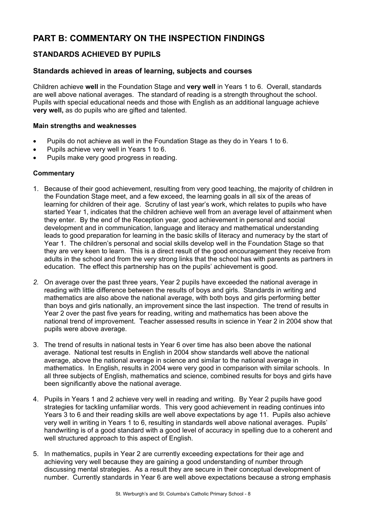# **PART B: COMMENTARY ON THE INSPECTION FINDINGS**

## **STANDARDS ACHIEVED BY PUPILS**

## **Standards achieved in areas of learning, subjects and courses**

Children achieve **well** in the Foundation Stage and **very well** in Years 1 to 6. Overall, standards are well above national averages. The standard of reading is a strength throughout the school. Pupils with special educational needs and those with English as an additional language achieve **very well,** as do pupils who are gifted and talented.

## **Main strengths and weaknesses**

- Pupils do not achieve as well in the Foundation Stage as they do in Years 1 to 6.
- Pupils achieve very well in Years 1 to 6.
- Pupils make very good progress in reading.

- 1. Because of their good achievement, resulting from very good teaching, the majority of children in the Foundation Stage meet, and a few exceed, the learning goals in all six of the areas of learning for children of their age. Scrutiny of last year's work, which relates to pupils who have started Year 1, indicates that the children achieve well from an average level of attainment when they enter. By the end of the Reception year, good achievement in personal and social development and in communication, language and literacy and mathematical understanding leads to good preparation for learning in the basic skills of literacy and numeracy by the start of Year 1. The children's personal and social skills develop well in the Foundation Stage so that they are very keen to learn. This is a direct result of the good encouragement they receive from adults in the school and from the very strong links that the school has with parents as partners in education. The effect this partnership has on the pupils' achievement is good.
- *2.* On average over the past three years, Year 2 pupils have exceeded the national average in reading with little difference between the results of boys and girls. Standards in writing and mathematics are also above the national average, with both boys and girls performing better than boys and girls nationally, an improvement since the last inspection. The trend of results in Year 2 over the past five years for reading, writing and mathematics has been above the national trend of improvement. Teacher assessed results in science in Year 2 in 2004 show that pupils were above average.
- 3. The trend of results in national tests in Year 6 over time has also been above the national average. National test results in English in 2004 show standards well above the national average, above the national average in science and similar to the national average in mathematics. In English, results in 2004 were very good in comparison with similar schools. In all three subjects of English, mathematics and science, combined results for boys and girls have been significantly above the national average.
- 4. Pupils in Years 1 and 2 achieve very well in reading and writing. By Year 2 pupils have good strategies for tackling unfamiliar words. This very good achievement in reading continues into Years 3 to 6 and their reading skills are well above expectations by age 11. Pupils also achieve very well in writing in Years 1 to 6, resulting in standards well above national averages. Pupils' handwriting is of a good standard with a good level of accuracy in spelling due to a coherent and well structured approach to this aspect of English.
- 5. In mathematics, pupils in Year 2 are currently exceeding expectations for their age and achieving very well because they are gaining a good understanding of number through discussing mental strategies. As a result they are secure in their conceptual development of number. Currently standards in Year 6 are well above expectations because a strong emphasis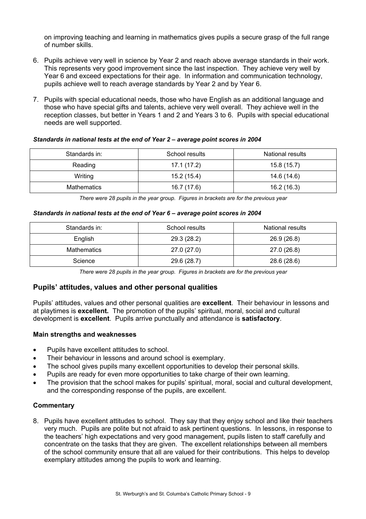on improving teaching and learning in mathematics gives pupils a secure grasp of the full range of number skills.

- 6. Pupils achieve very well in science by Year 2 and reach above average standards in their work. This represents very good improvement since the last inspection. They achieve very well by Year 6 and exceed expectations for their age. In information and communication technology, pupils achieve well to reach average standards by Year 2 and by Year 6.
- 7. Pupils with special educational needs, those who have English as an additional language and those who have special gifts and talents, achieve very well overall. They achieve well in the reception classes, but better in Years 1 and 2 and Years 3 to 6. Pupils with special educational needs are well supported.

*Standards in national tests at the end of Year 2 – average point scores in 2004* 

| Standards in: | School results | National results |
|---------------|----------------|------------------|
| Reading       | 17.1 (17.2)    | 15.8 (15.7)      |
| Writing       | 15.2(15.4)     | 14.6 (14.6)      |
| Mathematics   | 16.7 (17.6)    | 16.2 (16.3)      |

*There were 28 pupils in the year group. Figures in brackets are for the previous year* 

#### *Standards in national tests at the end of Year 6 – average point scores in 2004*

| Standards in: | School results | National results |
|---------------|----------------|------------------|
| English       | 29.3 (28.2)    | 26.9 (26.8)      |
| Mathematics   | 27.0 (27.0)    | 27.0 (26.8)      |
| Science       | 29.6 (28.7)    | 28.6 (28.6)      |

*There were 28 pupils in the year group. Figures in brackets are for the previous year* 

## **Pupils' attitudes, values and other personal qualities**

Pupils' attitudes, values and other personal qualities are **excellent**. Their behaviour in lessons and at playtimes is **excellent.** The promotion of the pupils' spiritual, moral, social and cultural development is **excellent**. Pupils arrive punctually and attendance is **satisfactory**.

## **Main strengths and weaknesses**

- Pupils have excellent attitudes to school.
- Their behaviour in lessons and around school is exemplary.
- The school gives pupils many excellent opportunities to develop their personal skills.
- Pupils are ready for even more opportunities to take charge of their own learning.
- The provision that the school makes for pupils' spiritual, moral, social and cultural development, and the corresponding response of the pupils, are excellent.

## **Commentary**

8. Pupils have excellent attitudes to school. They say that they enjoy school and like their teachers very much. Pupils are polite but not afraid to ask pertinent questions. In lessons, in response to the teachers' high expectations and very good management, pupils listen to staff carefully and concentrate on the tasks that they are given. The excellent relationships between all members of the school community ensure that all are valued for their contributions. This helps to develop exemplary attitudes among the pupils to work and learning.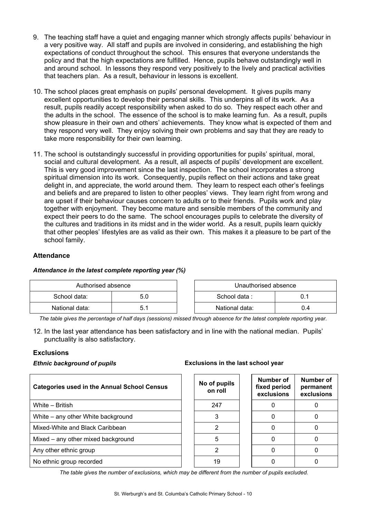- 9. The teaching staff have a quiet and engaging manner which strongly affects pupils' behaviour in a very positive way. All staff and pupils are involved in considering, and establishing the high expectations of conduct throughout the school. This ensures that everyone understands the policy and that the high expectations are fulfilled. Hence, pupils behave outstandingly well in and around school. In lessons they respond very positively to the lively and practical activities that teachers plan. As a result, behaviour in lessons is excellent.
- 10. The school places great emphasis on pupils' personal development. It gives pupils many excellent opportunities to develop their personal skills. This underpins all of its work. As a result, pupils readily accept responsibility when asked to do so. They respect each other and the adults in the school. The essence of the school is to make learning fun. As a result, pupils show pleasure in their own and others' achievements. They know what is expected of them and they respond very well. They enjoy solving their own problems and say that they are ready to take more responsibility for their own learning.
- 11. The school is outstandingly successful in providing opportunities for pupils' spiritual, moral, social and cultural development. As a result, all aspects of pupils' development are excellent. This is very good improvement since the last inspection. The school incorporates a strong spiritual dimension into its work. Consequently, pupils reflect on their actions and take great delight in, and appreciate, the world around them. They learn to respect each other's feelings and beliefs and are prepared to listen to other peoples' views. They learn right from wrong and are upset if their behaviour causes concern to adults or to their friends. Pupils work and play together with enjoyment. They become mature and sensible members of the community and expect their peers to do the same. The school encourages pupils to celebrate the diversity of the cultures and traditions in its midst and in the wider world. As a result, pupils learn quickly that other peoples' lifestyles are as valid as their own. This makes it a pleasure to be part of the school family.

## **Attendance**

#### *Attendance in the latest complete reporting year (%)*

| Authorised absence |  | Unauthorised absence |     |
|--------------------|--|----------------------|-----|
| School data:       |  | School data:         |     |
| National data:     |  | National data:       | J.4 |

*The table gives the percentage of half days (sessions) missed through absence for the latest complete reporting year.*

12. In the last year attendance has been satisfactory and in line with the national median. Pupils' punctuality is also satisfactory.

## **Exclusions**

| <b>Categories used in the Annual School Census</b> | No of pupils<br>on roll | Number of<br>fixed period<br>exclusions | <b>Numb</b><br>perma<br>exclus |
|----------------------------------------------------|-------------------------|-----------------------------------------|--------------------------------|
| White – British                                    | 247                     |                                         | 0                              |
| White – any other White background                 | 3                       |                                         | 0                              |
| Mixed-White and Black Caribbean                    |                         |                                         | 0                              |
| Mixed – any other mixed background                 | 5                       |                                         | 0                              |
| Any other ethnic group                             | 2                       |                                         | 0                              |
| No ethnic group recorded                           | 19                      |                                         | 0                              |

#### *Ethnic background of pupils* **Exclusions in the last school year**

| No of pupils<br>on roll | Number of<br>fixed period<br>exclusions | Number of<br>permanent<br>exclusions |
|-------------------------|-----------------------------------------|--------------------------------------|
| 247                     |                                         |                                      |
| 3                       |                                         |                                      |
| 2                       |                                         |                                      |
| 5                       |                                         |                                      |
|                         |                                         |                                      |
|                         |                                         |                                      |

*The table gives the number of exclusions, which may be different from the number of pupils excluded.*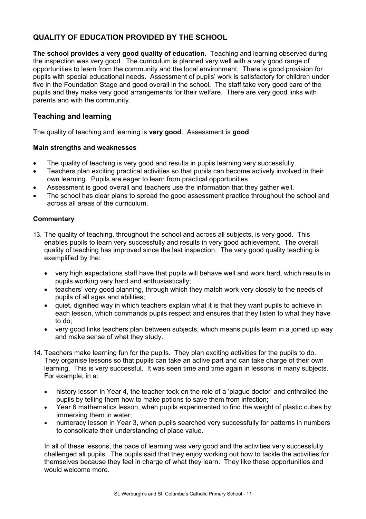## **QUALITY OF EDUCATION PROVIDED BY THE SCHOOL**

**The school provides a very good quality of education.** Teaching and learning observed during the inspection was very good. The curriculum is planned very well with a very good range of opportunities to learn from the community and the local environment. There is good provision for pupils with special educational needs. Assessment of pupils' work is satisfactory for children under five in the Foundation Stage and good overall in the school. The staff take very good care of the pupils and they make very good arrangements for their welfare. There are very good links with parents and with the community.

## **Teaching and learning**

The quality of teaching and learning is **very good**. Assessment is **good**.

## **Main strengths and weaknesses**

- The quality of teaching is very good and results in pupils learning very successfully.
- Teachers plan exciting practical activities so that pupils can become actively involved in their own learning. Pupils are eager to learn from practical opportunities.
- Assessment is good overall and teachers use the information that they gather well.
- The school has clear plans to spread the good assessment practice throughout the school and across all areas of the curriculum.

## **Commentary**

- 13. The quality of teaching, throughout the school and across all subjects, is very good. This enables pupils to learn very successfully and results in very good achievement. The overall quality of teaching has improved since the last inspection. The very good quality teaching is exemplified by the:
	- very high expectations staff have that pupils will behave well and work hard, which results in pupils working very hard and enthusiastically;
	- teachers' very good planning, through which they match work very closely to the needs of pupils of all ages and abilities;
	- quiet, dignified way in which teachers explain what it is that they want pupils to achieve in each lesson, which commands pupils respect and ensures that they listen to what they have to do;
	- very good links teachers plan between subjects, which means pupils learn in a joined up way and make sense of what they study.
- 14. Teachers make learning fun for the pupils. They plan exciting activities for the pupils to do. They organise lessons so that pupils can take an active part and can take charge of their own learning. This is very successful. It was seen time and time again in lessons in many subjects. For example, in a:
	- history lesson in Year 4, the teacher took on the role of a 'plague doctor' and enthralled the pupils by telling them how to make potions to save them from infection;
	- Year 6 mathematics lesson, when pupils experimented to find the weight of plastic cubes by immersing them in water;
	- numeracy lesson in Year 3, when pupils searched very successfully for patterns in numbers to consolidate their understanding of place value.

In all of these lessons, the pace of learning was very good and the activities very successfully challenged all pupils. The pupils said that they enjoy working out how to tackle the activities for themselves because they feel in charge of what they learn. They like these opportunities and would welcome more.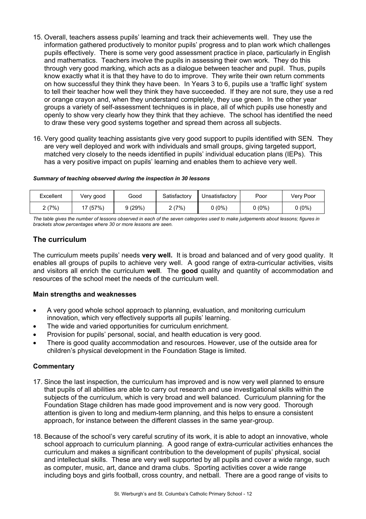- 15. Overall, teachers assess pupils' learning and track their achievements well. They use the information gathered productively to monitor pupils' progress and to plan work which challenges pupils effectively. There is some very good assessment practice in place, particularly in English and mathematics. Teachers involve the pupils in assessing their own work. They do this through very good marking, which acts as a dialogue between teacher and pupil. Thus, pupils know exactly what it is that they have to do to improve. They write their own return comments on how successful they think they have been. In Years 3 to 6, pupils use a 'traffic light' system to tell their teacher how well they think they have succeeded. If they are not sure, they use a red or orange crayon and, when they understand completely, they use green. In the other year groups a variety of self-assessment techniques is in place, all of which pupils use honestly and openly to show very clearly how they think that they achieve. The school has identified the need to draw these very good systems together and spread them across all subjects.
- 16. Very good quality teaching assistants give very good support to pupils identified with SEN. They are very well deployed and work with individuals and small groups, giving targeted support, matched very closely to the needs identified in pupils' individual education plans (IEPs). This has a very positive impact on pupils' learning and enables them to achieve very well.

#### *Summary of teaching observed during the inspection in 30 lessons*

| Excellent | Very good | Good   | Satisfactorv | Unsatisfactory | Poor   | Very Poor |
|-----------|-----------|--------|--------------|----------------|--------|-----------|
| 2(7%)     | 17(57%)   | 9(29%) | (7%          | $0(0\%)$       | 0 (0%) | $0(0\%)$  |

*The table gives the number of lessons observed in each of the seven categories used to make judgements about lessons; figures in brackets show percentages where 30 or more lessons are seen.* 

## **The curriculum**

The curriculum meets pupils' needs **very well.** It is broad and balanced and of very good quality. It enables all groups of pupils to achieve very well.A good range of extra-curricular activities, visits and visitors all enrich the curriculum **well**. The **good** quality and quantity of accommodation and resources of the school meet the needs of the curriculum well.

## **Main strengths and weaknesses**

- A very good whole school approach to planning, evaluation, and monitoring curriculum innovation, which very effectively supports all pupils' learning.
- The wide and varied opportunities for curriculum enrichment.
- Provision for pupils' personal, social, and health education is very good.
- There is good quality accommodation and resources. However, use of the outside area for children's physical development in the Foundation Stage is limited.

- 17. Since the last inspection, the curriculum has improved and is now very well planned to ensure that pupils of all abilities are able to carry out research and use investigational skills within the subjects of the curriculum, which is very broad and well balanced. Curriculum planning for the Foundation Stage children has made good improvement and is now very good. Thorough attention is given to long and medium-term planning, and this helps to ensure a consistent approach, for instance between the different classes in the same year-group.
- 18. Because of the school's very careful scrutiny of its work, it is able to adopt an innovative, whole school approach to curriculum planning. A good range of extra-curricular activities enhances the curriculum and makes a significant contribution to the development of pupils' physical, social and intellectual skills. These are very well supported by all pupils and cover a wide range, such as computer, music, art, dance and drama clubs. Sporting activities cover a wide range including boys and girls football, cross country, and netball. There are a good range of visits to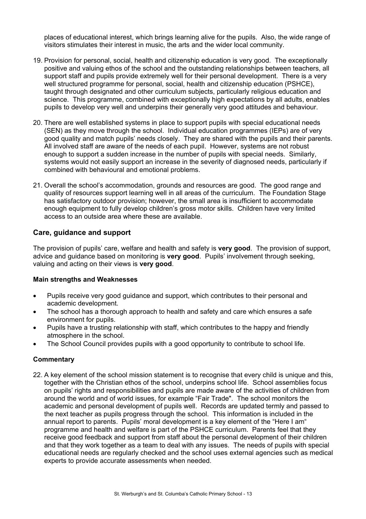places of educational interest, which brings learning alive for the pupils. Also, the wide range of visitors stimulates their interest in music, the arts and the wider local community.

- 19. Provision for personal, social, health and citizenship education is very good. The exceptionally positive and valuing ethos of the school and the outstanding relationships between teachers, all support staff and pupils provide extremely well for their personal development. There is a very well structured programme for personal, social, health and citizenship education (PSHCE), taught through designated and other curriculum subjects, particularly religious education and science. This programme, combined with exceptionally high expectations by all adults, enables pupils to develop very well and underpins their generally very good attitudes and behaviour.
- 20. There are well established systems in place to support pupils with special educational needs (SEN) as they move through the school. Individual education programmes (IEPs) are of very good quality and match pupils' needs closely. They are shared with the pupils and their parents. All involved staff are aware of the needs of each pupil. However, systems are not robust enough to support a sudden increase in the number of pupils with special needs. Similarly, systems would not easily support an increase in the severity of diagnosed needs, particularly if combined with behavioural and emotional problems.
- 21. Overall the school's accommodation, grounds and resources are good. The good range and quality of resources support learning well in all areas of the curriculum. The Foundation Stage has satisfactory outdoor provision; however, the small area is insufficient to accommodate enough equipment to fully develop children's gross motor skills. Children have very limited access to an outside area where these are available.

## **Care, guidance and support**

The provision of pupils' care, welfare and health and safety is **very good**. The provision of support, advice and guidance based on monitoring is **very good**. Pupils' involvement through seeking, valuing and acting on their views is **very good**.

## **Main strengths and Weaknesses**

- Pupils receive very good guidance and support, which contributes to their personal and academic development.
- The school has a thorough approach to health and safety and care which ensures a safe environment for pupils.
- Pupils have a trusting relationship with staff, which contributes to the happy and friendly atmosphere in the school.
- The School Council provides pupils with a good opportunity to contribute to school life.

## **Commentary**

22. A key element of the school mission statement is to recognise that every child is unique and this, together with the Christian ethos of the school, underpins school life. School assemblies focus on pupils' rights and responsibilities and pupils are made aware of the activities of children from around the world and of world issues, for example "Fair Trade". The school monitors the academic and personal development of pupils well. Records are updated termly and passed to the next teacher as pupils progress through the school. This information is included in the annual report to parents. Pupils' moral development is a key element of the "Here I am" programme and health and welfare is part of the PSHCE curriculum. Parents feel that they receive good feedback and support from staff about the personal development of their children and that they work together as a team to deal with any issues. The needs of pupils with special educational needs are regularly checked and the school uses external agencies such as medical experts to provide accurate assessments when needed.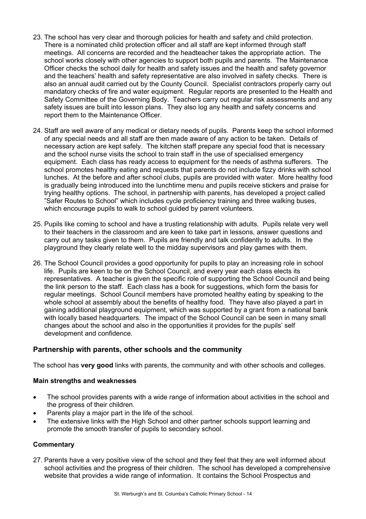- 23. The school has very clear and thorough policies for health and safety and child protection. There is a nominated child protection officer and all staff are kept informed through staff meetings. All concerns are recorded and the headteacher takes the appropriate action. The school works closely with other agencies to support both pupils and parents. The Maintenance Officer checks the school daily for health and safety issues and the health and safety governor and the teachers' health and safety representative are also involved in safety checks. There is also an annual audit carried out by the County Council. Specialist contractors properly carry out mandatory checks of fire and water equipment. Regular reports are presented to the Health and Safety Committee of the Governing Body. Teachers carry out regular risk assessments and any safety issues are built into lesson plans. They also log any health and safety concerns and report them to the Maintenance Officer.
- 24. Staff are well aware of any medical or dietary needs of pupils. Parents keep the school informed of any special needs and all staff are then made aware of any action to be taken. Details of necessary action are kept safely. The kitchen staff prepare any special food that is necessary and the school nurse visits the school to train staff in the use of specialised emergency equipment. Each class has ready access to equipment for the needs of asthma sufferers. The school promotes healthy eating and requests that parents do not include fizzy drinks with school lunches. At the before and after school clubs, pupils are provided with water. More healthy food is gradually being introduced into the lunchtime menu and pupils receive stickers and praise for trying healthy options. The school, in partnership with parents, has developed a project called "Safer Routes to School" which includes cycle proficiency training and three walking buses, which encourage pupils to walk to school guided by parent volunteers.
- 25. Pupils like coming to school and have a trusting relationship with adults. Pupils relate very well to their teachers in the classroom and are keen to take part in lessons, answer questions and carry out any tasks given to them. Pupils are friendly and talk confidently to adults. In the playground they clearly relate well to the midday supervisors and play games with them.
- 26. The School Council provides a good opportunity for pupils to play an increasing role in school life. Pupils are keen to be on the School Council, and every year each class elects its representatives. A teacher is given the specific role of supporting the School Council and being the link person to the staff. Each class has a book for suggestions, which form the basis for regular meetings. School Council members have promoted healthy eating by speaking to the whole school at assembly about the benefits of healthy food. They have also played a part in gaining additional playground equipment, which was supported by a grant from a national bank with locally based headquarters. The impact of the School Council can be seen in many small changes about the school and also in the opportunities it provides for the pupils' self development and confidence.

## **Partnership with parents, other schools and the community**

The school has **very good** links with parents, the community and with other schools and colleges.

#### **Main strengths and weaknesses**

- The school provides parents with a wide range of information about activities in the school and the progress of their children.
- Parents play a major part in the life of the school.
- The extensive links with the High School and other partner schools support learning and promote the smooth transfer of pupils to secondary school.

#### **Commentary**

27. Parents have a very positive view of the school and they feel that they are well informed about school activities and the progress of their children. The school has developed a comprehensive website that provides a wide range of information. It contains the School Prospectus and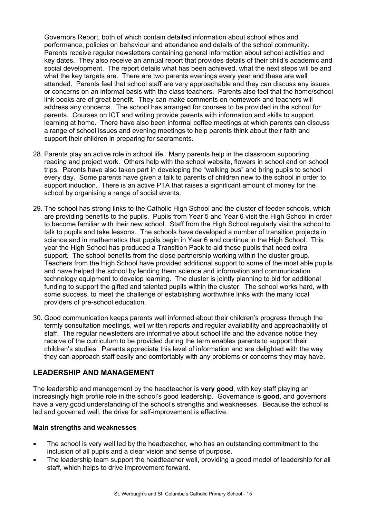Governors Report, both of which contain detailed information about school ethos and performance, policies on behaviour and attendance and details of the school community. Parents receive regular newsletters containing general information about school activities and key dates. They also receive an annual report that provides details of their child's academic and social development. The report details what has been achieved, what the next steps will be and what the key targets are. There are two parents evenings every year and these are well attended. Parents feel that school staff are very approachable and they can discuss any issues or concerns on an informal basis with the class teachers. Parents also feel that the home/school link books are of great benefit. They can make comments on homework and teachers will address any concerns. The school has arranged for courses to be provided in the school for parents. Courses on ICT and writing provide parents with information and skills to support learning at home. There have also been informal coffee meetings at which parents can discuss a range of school issues and evening meetings to help parents think about their faith and support their children in preparing for sacraments.

- 28. Parents play an active role in school life. Many parents help in the classroom supporting reading and project work. Others help with the school website, flowers in school and on school trips. Parents have also taken part in developing the "walking bus" and bring pupils to school every day. Some parents have given a talk to parents of children new to the school in order to support induction. There is an active PTA that raises a significant amount of money for the school by organising a range of social events.
- 29. The school has strong links to the Catholic High School and the cluster of feeder schools, which are providing benefits to the pupils. Pupils from Year 5 and Year 6 visit the High School in order to become familiar with their new school. Staff from the High School regularly visit the school to talk to pupils and take lessons. The schools have developed a number of transition projects in science and in mathematics that pupils begin in Year 6 and continue in the High School. This year the High School has produced a Transition Pack to aid those pupils that need extra support. The school benefits from the close partnership working within the cluster group. Teachers from the High School have provided additional support to some of the most able pupils and have helped the school by lending them science and information and communication technology equipment to develop learning. The cluster is jointly planning to bid for additional funding to support the gifted and talented pupils within the cluster. The school works hard, with some success, to meet the challenge of establishing worthwhile links with the many local providers of pre-school education.
- 30. Good communication keeps parents well informed about their children's progress through the termly consultation meetings, well written reports and regular availability and approachability of staff. The regular newsletters are informative about school life and the advance notice they receive of the curriculum to be provided during the term enables parents to support their children's studies. Parents appreciate this level of information and are delighted with the way they can approach staff easily and comfortably with any problems or concerns they may have.

## **LEADERSHIP AND MANAGEMENT**

The leadership and management by the headteacher is **very good**, with key staff playing an increasingly high profile role in the school's good leadership.Governance is **good**, and governors have a very good understanding of the school's strengths and weaknesses. Because the school is led and governed well, the drive for self-improvement is effective.

## **Main strengths and weaknesses**

- The school is very well led by the headteacher, who has an outstanding commitment to the inclusion of all pupils and a clear vision and sense of purpose.
- The leadership team support the headteacher well, providing a good model of leadership for all staff, which helps to drive improvement forward.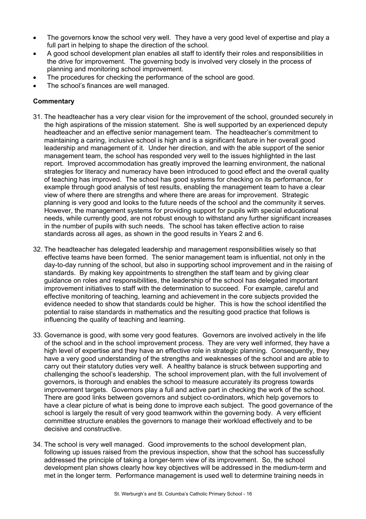- The governors know the school very well. They have a very good level of expertise and play a full part in helping to shape the direction of the school.
- A good school development plan enables all staff to identify their roles and responsibilities in the drive for improvement. The governing body is involved very closely in the process of planning and monitoring school improvement.
- The procedures for checking the performance of the school are good.
- The school's finances are well managed.

- 31. The headteacher has a very clear vision for the improvement of the school, grounded securely in the high aspirations of the mission statement. She is well supported by an experienced deputy headteacher and an effective senior management team. The headteacher's commitment to maintaining a caring, inclusive school is high and is a significant feature in her overall good leadership and management of it. Under her direction, and with the able support of the senior management team, the school has responded very well to the issues highlighted in the last report. Improved accommodation has greatly improved the learning environment, the national strategies for literacy and numeracy have been introduced to good effect and the overall quality of teaching has improved. The school has good systems for checking on its performance, for example through good analysis of test results, enabling the management team to have a clear view of where there are strengths and where there are areas for improvement. Strategic planning is very good and looks to the future needs of the school and the community it serves. However, the management systems for providing support for pupils with special educational needs, while currently good, are not robust enough to withstand any further significant increases in the number of pupils with such needs. The school has taken effective action to raise standards across all ages, as shown in the good results in Years 2 and 6.
- 32. The headteacher has delegated leadership and management responsibilities wisely so that effective teams have been formed. The senior management team is influential, not only in the day-to-day running of the school, but also in supporting school improvement and in the raising of standards. By making key appointments to strengthen the staff team and by giving clear guidance on roles and responsibilities, the leadership of the school has delegated important improvement initiatives to staff with the determination to succeed. For example, careful and effective monitoring of teaching, learning and achievement in the core subjects provided the evidence needed to show that standards could be higher. This is how the school identified the potential to raise standards in mathematics and the resulting good practice that follows is influencing the quality of teaching and learning.
- 33. Governance is good, with some very good features. Governors are involved actively in the life of the school and in the school improvement process. They are very well informed, they have a high level of expertise and they have an effective role in strategic planning. Consequently, they have a very good understanding of the strengths and weaknesses of the school and are able to carry out their statutory duties very well. A healthy balance is struck between supporting and challenging the school's leadership. The school improvement plan, with the full involvement of governors, is thorough and enables the school to measure accurately its progress towards improvement targets. Governors play a full and active part in checking the work of the school. There are good links between governors and subject co-ordinators, which help governors to have a clear picture of what is being done to improve each subject. The good governance of the school is largely the result of very good teamwork within the governing body. A very efficient committee structure enables the governors to manage their workload effectively and to be decisive and constructive.
- 34. The school is very well managed. Good improvements to the school development plan, following up issues raised from the previous inspection, show that the school has successfully addressed the principle of taking a longer-term view of its improvement. So, the school development plan shows clearly how key objectives will be addressed in the medium-term and met in the longer term. Performance management is used well to determine training needs in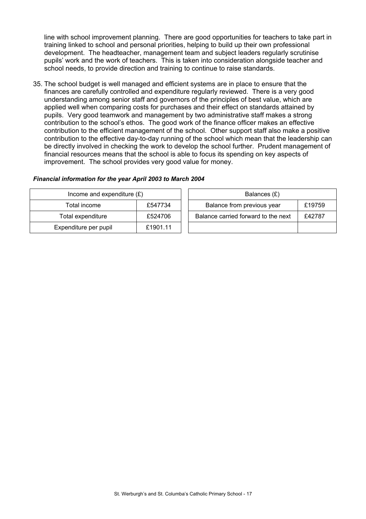line with school improvement planning. There are good opportunities for teachers to take part in training linked to school and personal priorities, helping to build up their own professional development. The headteacher, management team and subject leaders regularly scrutinise pupils' work and the work of teachers. This is taken into consideration alongside teacher and school needs, to provide direction and training to continue to raise standards.

35. The school budget is well managed and efficient systems are in place to ensure that the finances are carefully controlled and expenditure regularly reviewed. There is a very good understanding among senior staff and governors of the principles of best value, which are applied well when comparing costs for purchases and their effect on standards attained by pupils. Very good teamwork and management by two administrative staff makes a strong contribution to the school's ethos. The good work of the finance officer makes an effective contribution to the efficient management of the school. Other support staff also make a positive contribution to the effective day-to-day running of the school which mean that the leadership can be directly involved in checking the work to develop the school further. Prudent management of financial resources means that the school is able to focus its spending on key aspects of improvement. The school provides very good value for money.

#### *Financial information for the year April 2003 to March 2004*

| Income and expenditure $(E)$ |          | Balances (£)                                  |  |  |
|------------------------------|----------|-----------------------------------------------|--|--|
| £547734<br>Total income      |          | Balance from previous year<br>£19759          |  |  |
| Total expenditure            | £524706  | Balance carried forward to the next<br>£42787 |  |  |
| Expenditure per pupil        | £1901.11 |                                               |  |  |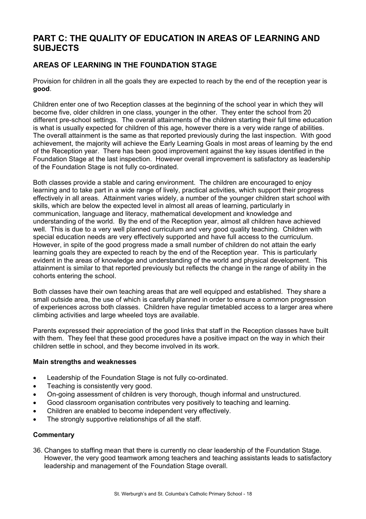# **PART C: THE QUALITY OF EDUCATION IN AREAS OF LEARNING AND SUBJECTS**

## **AREAS OF LEARNING IN THE FOUNDATION STAGE**

Provision for children in all the goals they are expected to reach by the end of the reception year is **good**.

Children enter one of two Reception classes at the beginning of the school year in which they will become five, older children in one class, younger in the other. They enter the school from 20 different pre-school settings. The overall attainments of the children starting their full time education is what is usually expected for children of this age, however there is a very wide range of abilities. The overall attainment is the same as that reported previously during the last inspection. With good achievement, the majority will achieve the Early Learning Goals in most areas of learning by the end of the Reception year. There has been good improvement against the key issues identified in the Foundation Stage at the last inspection. However overall improvement is satisfactory as leadership of the Foundation Stage is not fully co-ordinated.

Both classes provide a stable and caring environment. The children are encouraged to enjoy learning and to take part in a wide range of lively, practical activities, which support their progress effectively in all areas. Attainment varies widely, a number of the younger children start school with skills, which are below the expected level in almost all areas of learning, particularly in communication, language and literacy, mathematical development and knowledge and understanding of the world. By the end of the Reception year, almost all children have achieved well. This is due to a very well planned curriculum and very good quality teaching. Children with special education needs are very effectively supported and have full access to the curriculum. However, in spite of the good progress made a small number of children do not attain the early learning goals they are expected to reach by the end of the Reception year. This is particularly evident in the areas of knowledge and understanding of the world and physical development. This attainment is similar to that reported previously but reflects the change in the range of ability in the cohorts entering the school.

Both classes have their own teaching areas that are well equipped and established. They share a small outside area, the use of which is carefully planned in order to ensure a common progression of experiences across both classes. Children have regular timetabled access to a larger area where climbing activities and large wheeled toys are available.

Parents expressed their appreciation of the good links that staff in the Reception classes have built with them. They feel that these good procedures have a positive impact on the way in which their children settle in school, and they become involved in its work.

## **Main strengths and weaknesses**

- Leadership of the Foundation Stage is not fully co-ordinated.
- Teaching is consistently very good.
- On-going assessment of children is very thorough, though informal and unstructured.
- Good classroom organisation contributes very positively to teaching and learning.
- Children are enabled to become independent very effectively.
- The strongly supportive relationships of all the staff.

## **Commentary**

36. Changes to staffing mean that there is currently no clear leadership of the Foundation Stage. However, the very good teamwork among teachers and teaching assistants leads to satisfactory leadership and management of the Foundation Stage overall.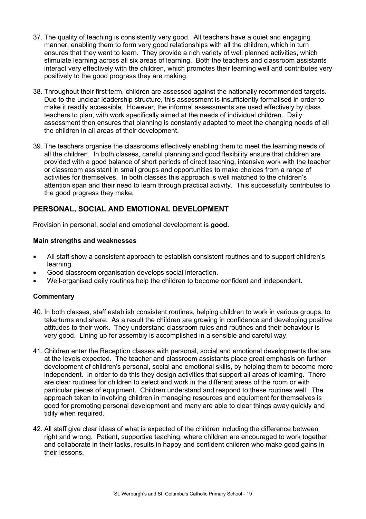- 37. The quality of teaching is consistently very good. All teachers have a quiet and engaging manner, enabling them to form very good relationships with all the children, which in turn ensures that they want to learn. They provide a rich variety of well planned activities, which stimulate learning across all six areas of learning. Both the teachers and classroom assistants interact very effectively with the children, which promotes their learning well and contributes very positively to the good progress they are making.
- 38. Throughout their first term, children are assessed against the nationally recommended targets. Due to the unclear leadership structure, this assessment is insufficiently formalised in order to make it readily accessible. However, the informal assessments are used effectively by class teachers to plan, with work specifically aimed at the needs of individual children. Daily assessment then ensures that planning is constantly adapted to meet the changing needs of all the children in all areas of their development.
- 39. The teachers organise the classrooms effectively enabling them to meet the learning needs of all the children. In both classes, careful planning and good flexibility ensure that children are provided with a good balance of short periods of direct teaching, intensive work with the teacher or classroom assistant in small groups and opportunities to make choices from a range of activities for themselves. In both classes this approach is well matched to the children's attention span and their need to learn through practical activity. This successfully contributes to the good progress they make.

## **PERSONAL, SOCIAL AND EMOTIONAL DEVELOPMENT**

Provision in personal, social and emotional development is **good.** 

## **Main strengths and weaknesses**

- All staff show a consistent approach to establish consistent routines and to support children's learning.
- Good classroom organisation develops social interaction.
- Well-organised daily routines help the children to become confident and independent.

- 40. In both classes, staff establish consistent routines, helping children to work in various groups, to take turns and share. As a result the children are growing in confidence and developing positive attitudes to their work. They understand classroom rules and routines and their behaviour is very good. Lining up for assembly is accomplished in a sensible and careful way.
- 41. Children enter the Reception classes with personal, social and emotional developments that are at the levels expected. The teacher and classroom assistants place great emphasis on further development of children's personal, social and emotional skills, by helping them to become more independent. In order to do this they design activities that support all areas of learning. There are clear routines for children to select and work in the different areas of the room or with particular pieces of equipment. Children understand and respond to these routines well. The approach taken to involving children in managing resources and equipment for themselves is good for promoting personal development and many are able to clear things away quickly and tidily when required.
- 42. All staff give clear ideas of what is expected of the children including the difference between right and wrong. Patient, supportive teaching, where children are encouraged to work together and collaborate in their tasks, results in happy and confident children who make good gains in their lessons.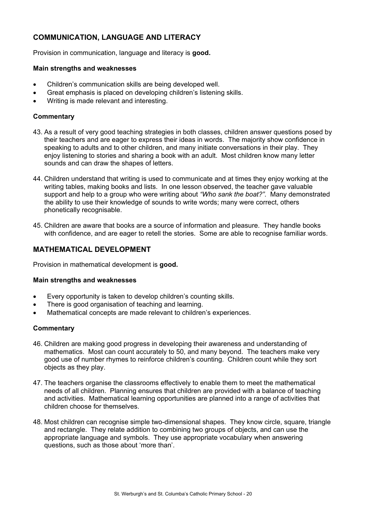## **COMMUNICATION, LANGUAGE AND LITERACY**

Provision in communication, language and literacy is **good.** 

#### **Main strengths and weaknesses**

- Children's communication skills are being developed well.
- Great emphasis is placed on developing children's listening skills.
- Writing is made relevant and interesting.

## **Commentary**

- 43. As a result of very good teaching strategies in both classes, children answer questions posed by their teachers and are eager to express their ideas in words. The majority show confidence in speaking to adults and to other children, and many initiate conversations in their play. They enjoy listening to stories and sharing a book with an adult. Most children know many letter sounds and can draw the shapes of letters.
- 44. Children understand that writing is used to communicate and at times they enjoy working at the writing tables, making books and lists. In one lesson observed, the teacher gave valuable support and help to a group who were writing about *"Who sank the boat?"*. Many demonstrated the ability to use their knowledge of sounds to write words; many were correct, others phonetically recognisable.
- 45. Children are aware that books are a source of information and pleasure. They handle books with confidence, and are eager to retell the stories. Some are able to recognise familiar words.

## **MATHEMATICAL DEVELOPMENT**

Provision in mathematical development is **good.** 

#### **Main strengths and weaknesses**

- Every opportunity is taken to develop children's counting skills.
- There is good organisation of teaching and learning.
- Mathematical concepts are made relevant to children's experiences.

- 46. Children are making good progress in developing their awareness and understanding of mathematics. Most can count accurately to 50, and many beyond. The teachers make very good use of number rhymes to reinforce children's counting. Children count while they sort objects as they play.
- 47. The teachers organise the classrooms effectively to enable them to meet the mathematical needs of all children. Planning ensures that children are provided with a balance of teaching and activities. Mathematical learning opportunities are planned into a range of activities that children choose for themselves.
- 48. Most children can recognise simple two-dimensional shapes. They know circle, square, triangle and rectangle. They relate addition to combining two groups of objects, and can use the appropriate language and symbols. They use appropriate vocabulary when answering questions, such as those about 'more than'.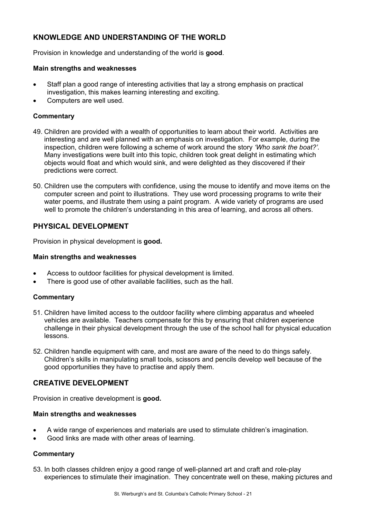## **KNOWLEDGE AND UNDERSTANDING OF THE WORLD**

Provision in knowledge and understanding of the world is **good**.

#### **Main strengths and weaknesses**

- Staff plan a good range of interesting activities that lay a strong emphasis on practical investigation, this makes learning interesting and exciting.
- Computers are well used.

## **Commentary**

- 49. Children are provided with a wealth of opportunities to learn about their world. Activities are interesting and are well planned with an emphasis on investigation. For example, during the inspection, children were following a scheme of work around the story *'Who sank the boat?'.*  Many investigations were built into this topic, children took great delight in estimating which objects would float and which would sink, and were delighted as they discovered if their predictions were correct.
- 50. Children use the computers with confidence, using the mouse to identify and move items on the computer screen and point to illustrations. They use word processing programs to write their water poems, and illustrate them using a paint program. A wide variety of programs are used well to promote the children's understanding in this area of learning, and across all others.

## **PHYSICAL DEVELOPMENT**

Provision in physical development is **good.** 

#### **Main strengths and weaknesses**

- Access to outdoor facilities for physical development is limited.
- There is good use of other available facilities, such as the hall.

## **Commentary**

- 51. Children have limited access to the outdoor facility where climbing apparatus and wheeled vehicles are available. Teachers compensate for this by ensuring that children experience challenge in their physical development through the use of the school hall for physical education lessons.
- 52. Children handle equipment with care, and most are aware of the need to do things safely. Children's skills in manipulating small tools, scissors and pencils develop well because of the good opportunities they have to practise and apply them.

## **CREATIVE DEVELOPMENT**

Provision in creative development is **good.** 

#### **Main strengths and weaknesses**

- A wide range of experiences and materials are used to stimulate children's imagination.
- Good links are made with other areas of learning.

## **Commentary**

53. In both classes children enjoy a good range of well-planned art and craft and role-play experiences to stimulate their imagination. They concentrate well on these, making pictures and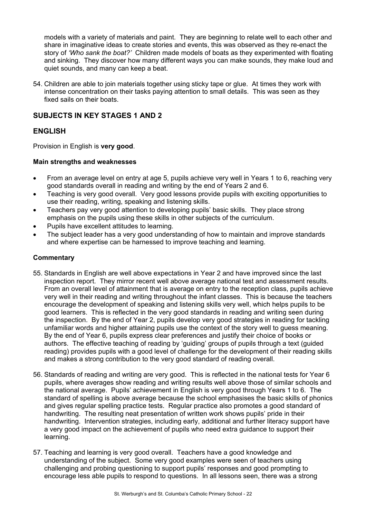models with a variety of materials and paint. They are beginning to relate well to each other and share in imaginative ideas to create stories and events, this was observed as they re-enact the story of *'Who sank the boat?'* Children made models of boats as they experimented with floating and sinking. They discover how many different ways you can make sounds, they make loud and quiet sounds, and many can keep a beat.

54. Children are able to join materials together using sticky tape or glue. At times they work with intense concentration on their tasks paying attention to small details. This was seen as they fixed sails on their boats.

## **SUBJECTS IN KEY STAGES 1 AND 2**

## **ENGLISH**

Provision in English is **very good**.

## **Main strengths and weaknesses**

- From an average level on entry at age 5, pupils achieve very well in Years 1 to 6, reaching very good standards overall in reading and writing by the end of Years 2 and 6.
- Teaching is very good overall. Very good lessons provide pupils with exciting opportunities to use their reading, writing, speaking and listening skills.
- Teachers pay very good attention to developing pupils' basic skills. They place strong emphasis on the pupils using these skills in other subjects of the curriculum.
- Pupils have excellent attitudes to learning.
- The subject leader has a very good understanding of how to maintain and improve standards and where expertise can be harnessed to improve teaching and learning.

- 55. Standards in English are well above expectations in Year 2 and have improved since the last inspection report. They mirror recent well above average national test and assessment results. From an overall level of attainment that is average on entry to the reception class, pupils achieve very well in their reading and writing throughout the infant classes. This is because the teachers encourage the development of speaking and listening skills very well, which helps pupils to be good learners. This is reflected in the very good standards in reading and writing seen during the inspection. By the end of Year 2, pupils develop very good strategies in reading for tackling unfamiliar words and higher attaining pupils use the context of the story well to guess meaning. By the end of Year 6, pupils express clear preferences and justify their choice of books or authors. The effective teaching of reading by 'guiding' groups of pupils through a text (guided reading) provides pupils with a good level of challenge for the development of their reading skills and makes a strong contribution to the very good standard of reading overall.
- 56. Standards of reading and writing are very good. This is reflected in the national tests for Year 6 pupils, where averages show reading and writing results well above those of similar schools and the national average. Pupils' achievement in English is very good through Years 1 to 6. The standard of spelling is above average because the school emphasises the basic skills of phonics and gives regular spelling practice tests. Regular practice also promotes a good standard of handwriting. The resulting neat presentation of written work shows pupils' pride in their handwriting. Intervention strategies, including early, additional and further literacy support have a very good impact on the achievement of pupils who need extra guidance to support their learning.
- 57. Teaching and learning is very good overall. Teachers have a good knowledge and understanding of the subject. Some very good examples were seen of teachers using challenging and probing questioning to support pupils' responses and good prompting to encourage less able pupils to respond to questions. In all lessons seen, there was a strong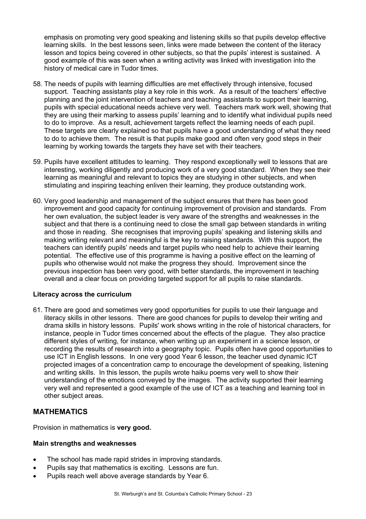emphasis on promoting very good speaking and listening skills so that pupils develop effective learning skills. In the best lessons seen, links were made between the content of the literacy lesson and topics being covered in other subjects, so that the pupils' interest is sustained. A good example of this was seen when a writing activity was linked with investigation into the history of medical care in Tudor times.

- 58. The needs of pupils with learning difficulties are met effectively through intensive, focused support. Teaching assistants play a key role in this work. As a result of the teachers' effective planning and the joint intervention of teachers and teaching assistants to support their learning, pupils with special educational needs achieve very well. Teachers mark work well, showing that they are using their marking to assess pupils' learning and to identify what individual pupils need to do to improve. As a result, achievement targets reflect the learning needs of each pupil. These targets are clearly explained so that pupils have a good understanding of what they need to do to achieve them. The result is that pupils make good and often very good steps in their learning by working towards the targets they have set with their teachers.
- 59. Pupils have excellent attitudes to learning. They respond exceptionally well to lessons that are interesting, working diligently and producing work of a very good standard. When they see their learning as meaningful and relevant to topics they are studying in other subjects, and when stimulating and inspiring teaching enliven their learning, they produce outstanding work.
- 60. Very good leadership and management of the subject ensures that there has been good improvement and good capacity for continuing improvement of provision and standards. From her own evaluation, the subject leader is very aware of the strengths and weaknesses in the subject and that there is a continuing need to close the small gap between standards in writing and those in reading. She recognises that improving pupils' speaking and listening skills and making writing relevant and meaningful is the key to raising standards. With this support, the teachers can identify pupils' needs and target pupils who need help to achieve their learning potential. The effective use of this programme is having a positive effect on the learning of pupils who otherwise would not make the progress they should. Improvement since the previous inspection has been very good, with better standards, the improvement in teaching overall and a clear focus on providing targeted support for all pupils to raise standards.

## **Literacy across the curriculum**

61. There are good and sometimes very good opportunities for pupils to use their language and literacy skills in other lessons. There are good chances for pupils to develop their writing and drama skills in history lessons. Pupils' work shows writing in the role of historical characters, for instance, people in Tudor times concerned about the effects of the plague. They also practice different styles of writing, for instance, when writing up an experiment in a science lesson, or recording the results of research into a geography topic. Pupils often have good opportunities to use ICT in English lessons. In one very good Year 6 lesson, the teacher used dynamic ICT projected images of a concentration camp to encourage the development of speaking, listening and writing skills. In this lesson, the pupils wrote haiku poems very well to show their understanding of the emotions conveyed by the images. The activity supported their learning very well and represented a good example of the use of ICT as a teaching and learning tool in other subject areas.

## **MATHEMATICS**

Provision in mathematics is **very good.** 

#### **Main strengths and weaknesses**

- The school has made rapid strides in improving standards.
- Pupils say that mathematics is exciting. Lessons are fun.
- Pupils reach well above average standards by Year 6.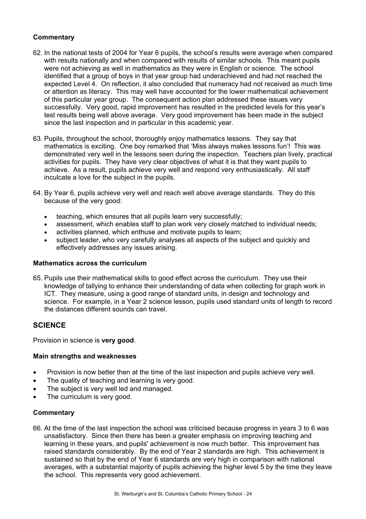## **Commentary**

- 62. In the national tests of 2004 for Year 6 pupils, the school's results were average when compared with results nationally and when compared with results of similar schools. This meant pupils were not achieving as well in mathematics as they were in English or science. The school identified that a group of boys in that year group had underachieved and had not reached the expected Level 4. On reflection, it also concluded that numeracy had not received as much time or attention as literacy. This may well have accounted for the lower mathematical achievement of this particular year group. The consequent action plan addressed these issues very successfully. Very good, rapid improvement has resulted in the predicted levels for this year's test results being well above average. Very good improvement has been made in the subject since the last inspection and in particular in this academic year.
- 63. Pupils, throughout the school, thoroughly enjoy mathematics lessons. They say that mathematics is exciting. One boy remarked that 'Miss always makes lessons fun'! This was demonstrated very well in the lessons seen during the inspection. Teachers plan lively, practical activities for pupils. They have very clear objectives of what it is that they want pupils to achieve. As a result, pupils achieve very well and respond very enthusiastically. All staff inculcate a love for the subject in the pupils.
- 64. By Year 6, pupils achieve very well and reach well above average standards. They do this because of the very good:
	- teaching, which ensures that all pupils learn very successfully;
	- assessment, which enables staff to plan work very closely matched to individual needs;
	- activities planned, which enthuse and motivate pupils to learn;
	- subject leader, who very carefully analyses all aspects of the subject and quickly and effectively addresses any issues arising.

#### **Mathematics across the curriculum**

65. Pupils use their mathematical skills to good effect across the curriculum. They use their knowledge of tallying to enhance their understanding of data when collecting for graph work in ICT. They measure, using a good range of standard units, in design and technology and science. For example, in a Year 2 science lesson, pupils used standard units of length to record the distances different sounds can travel.

## **SCIENCE**

Provision in science is **very good**.

## **Main strengths and weaknesses**

- Provision is now better then at the time of the last inspection and pupils achieve very well.
- The quality of teaching and learning is very good.
- The subject is very well led and managed.
- The curriculum is very good.

#### **Commentary**

66. At the time of the last inspection the school was criticised because progress in years 3 to 6 was unsatisfactory. Since then there has been a greater emphasis on improving teaching and learning in these years, and pupils' achievement is now much better. This improvement has raised standards considerably. By the end of Year 2 standards are high. This achievement is sustained so that by the end of Year 6 standards are very high in comparison with national averages, with a substantial majority of pupils achieving the higher level 5 by the time they leave the school. This represents very good achievement.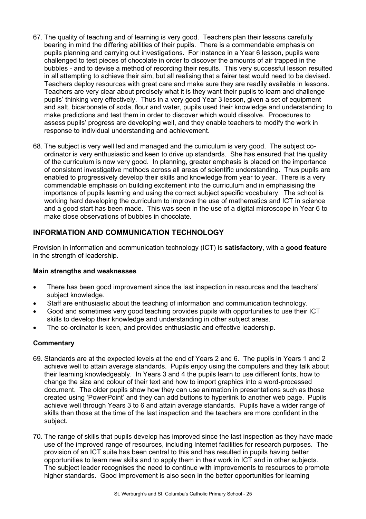- 67. The quality of teaching and of learning is very good. Teachers plan their lessons carefully bearing in mind the differing abilities of their pupils. There is a commendable emphasis on pupils planning and carrying out investigations. For instance in a Year 6 lesson, pupils were challenged to test pieces of chocolate in order to discover the amounts of air trapped in the bubbles *-* and to devise a method of recording their results. This very successful lesson resulted in all attempting to achieve their aim, but all realising that a fairer test would need to be devised. Teachers deploy resources with great care and make sure they are readily available in lessons. Teachers are very clear about precisely what it is they want their pupils to learn and challenge pupils' thinking very effectively. Thus in a very good Year 3 lesson, given a set of equipment and salt, bicarbonate of soda, flour and water, pupils used their knowledge and understanding to make predictions and test them in order to discover which would dissolve. Procedures to assess pupils' progress are developing well, and they enable teachers to modify the work in response to individual understanding and achievement.
- 68. The subject is very well led and managed and the curriculum is very good. The subject coordinator is very enthusiastic and keen to drive up standards. She has ensured that the quality of the curriculum is now very good. In planning, greater emphasis is placed on the importance of consistent investigative methods across all areas of scientific understanding. Thus pupils are enabled to progressively develop their skills and knowledge from year to year. There is a very commendable emphasis on building excitement into the curriculum and in emphasising the importance of pupils learning and using the correct subject specific vocabulary. The school is working hard developing the curriculum to improve the use of mathematics and ICT in science and a good start has been made. This was seen in the use of a digital microscope in Year 6 to make close observations of bubbles in chocolate.

## **INFORMATION AND COMMUNICATION TECHNOLOGY**

Provision in information and communication technology (ICT) is **satisfactory**, with a **good feature** in the strength of leadership.

## **Main strengths and weaknesses**

- There has been good improvement since the last inspection in resources and the teachers' subject knowledge.
- Staff are enthusiastic about the teaching of information and communication technology.
- Good and sometimes very good teaching provides pupils with opportunities to use their ICT skills to develop their knowledge and understanding in other subject areas.
- The co-ordinator is keen, and provides enthusiastic and effective leadership.

- 69. Standards are at the expected levels at the end of Years 2 and 6. The pupils in Years 1 and 2 achieve well to attain average standards. Pupils enjoy using the computers and they talk about their learning knowledgeably. In Years 3 and 4 the pupils learn to use different fonts, how to change the size and colour of their text and how to import graphics into a word-processed document. The older pupils show how they can use animation in presentations such as those created using 'PowerPoint' and they can add buttons to hyperlink to another web page. Pupils achieve well through Years 3 to 6 and attain average standards. Pupils have a wider range of skills than those at the time of the last inspection and the teachers are more confident in the subject.
- 70. The range of skills that pupils develop has improved since the last inspection as they have made use of the improved range of resources, including Internet facilities for research purposes. The provision of an ICT suite has been central to this and has resulted in pupils having better opportunities to learn new skills and to apply them in their work in ICT and in other subjects. The subject leader recognises the need to continue with improvements to resources to promote higher standards. Good improvement is also seen in the better opportunities for learning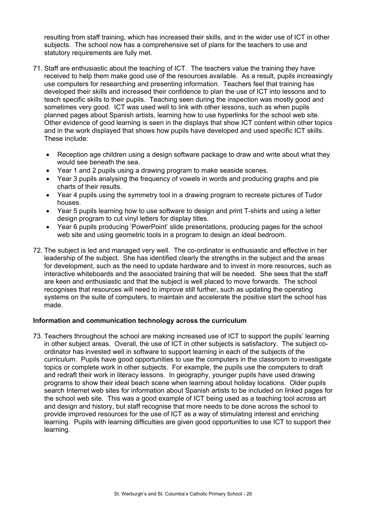resulting from staff training, which has increased their skills, and in the wider use of ICT in other subjects. The school now has a comprehensive set of plans for the teachers to use and statutory requirements are fully met.

- 71. Staff are enthusiastic about the teaching of ICT. The teachers value the training they have received to help them make good use of the resources available. As a result, pupils increasingly use computers for researching and presenting information. Teachers feel that training has developed their skills and increased their confidence to plan the use of ICT into lessons and to teach specific skills to their pupils. Teaching seen during the inspection was mostly good and sometimes very good. ICT was used well to link with other lessons, such as when pupils planned pages about Spanish artists, learning how to use hyperlinks for the school web site. Other evidence of good learning is seen in the displays that show ICT content within other topics and in the work displayed that shows how pupils have developed and used specific ICT skills. These include:
	- Reception age children using a design software package to draw and write about what they would see beneath the sea.
	- Year 1 and 2 pupils using a drawing program to make seaside scenes.
	- Year 3 pupils analysing the frequency of vowels in words and producing graphs and pie charts of their results.
	- Year 4 pupils using the symmetry tool in a drawing program to recreate pictures of Tudor houses.
	- Year 5 pupils learning how to use software to design and print T-shirts and using a letter design program to cut vinyl letters for display titles.
	- Year 6 pupils producing 'PowerPoint' slide presentations, producing pages for the school web site and using geometric tools in a program to design an ideal bedroom.
- 72. The subject is led and managed very well. The co-ordinator is enthusiastic and effective in her leadership of the subject. She has identified clearly the strengths in the subject and the areas for development, such as the need to update hardware and to invest in more resources, such as interactive whiteboards and the associated training that will be needed. She sees that the staff are keen and enthusiastic and that the subject is well placed to move forwards. The school recognises that resources will need to improve still further, such as updating the operating systems on the suite of computers, to maintain and accelerate the positive start the school has made.

## **Information and communication technology across the curriculum**

73. Teachers throughout the school are making increased use of ICT to support the pupils' learning in other subject areas. Overall, the use of ICT in other subjects is satisfactory. The subject coordinator has invested well in software to support learning in each of the subjects of the curriculum. Pupils have good opportunities to use the computers in the classroom to investigate topics or complete work in other subjects. For example, the pupils use the computers to draft and redraft their work in literacy lessons. In geography, younger pupils have used drawing programs to show their ideal beach scene when learning about holiday locations. Older pupils search Internet web sites for information about Spanish artists to be included on linked pages for the school web site. This was a good example of ICT being used as a teaching tool across art and design and history, but staff recognise that more needs to be done across the school to provide improved resources for the use of ICT as a way of stimulating interest and enriching learning. Pupils with learning difficulties are given good opportunities to use ICT to support their learning.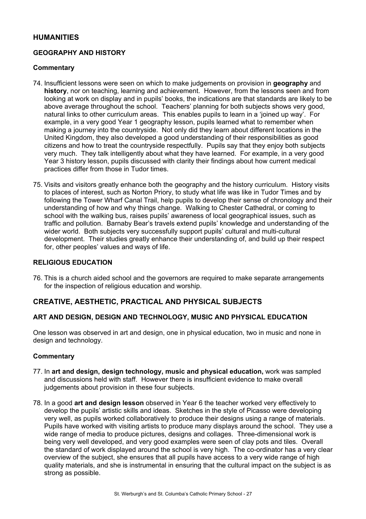## **HUMANITIES**

## **GEOGRAPHY AND HISTORY**

#### **Commentary**

- 74. Insufficient lessons were seen on which to make judgements on provision in **geography** and **history**, nor on teaching, learning and achievement. However, from the lessons seen and from looking at work on display and in pupils' books, the indications are that standards are likely to be above average throughout the school. Teachers' planning for both subjects shows very good, natural links to other curriculum areas. This enables pupils to learn in a 'joined up way'. For example, in a very good Year 1 geography lesson, pupils learned what to remember when making a journey into the countryside. Not only did they learn about different locations in the United Kingdom, they also developed a good understanding of their responsibilities as good citizens and how to treat the countryside respectfully. Pupils say that they enjoy both subjects very much. They talk intelligently about what they have learned. For example, in a very good Year 3 history lesson, pupils discussed with clarity their findings about how current medical practices differ from those in Tudor times.
- 75. Visits and visitors greatly enhance both the geography and the history curriculum. History visits to places of interest, such as Norton Priory, to study what life was like in Tudor Times and by following the Tower Wharf Canal Trail, help pupils to develop their sense of chronology and their understanding of how and why things change. Walking to Chester Cathedral, or coming to school with the walking bus, raises pupils' awareness of local geographical issues, such as traffic and pollution. Barnaby Bear's travels extend pupils' knowledge and understanding of the wider world. Both subjects very successfully support pupils' cultural and multi-cultural development. Their studies greatly enhance their understanding of, and build up their respect for, other peoples' values and ways of life.

#### **RELIGIOUS EDUCATION**

76. This is a church aided school and the governors are required to make separate arrangements for the inspection of religious education and worship.

## **CREATIVE, AESTHETIC, PRACTICAL AND PHYSICAL SUBJECTS**

## **ART AND DESIGN, DESIGN AND TECHNOLOGY, MUSIC AND PHYSICAL EDUCATION**

One lesson was observed in art and design, one in physical education, two in music and none in design and technology.

- 77. In **art and design, design technology, music and physical education,** work was sampled and discussions held with staff. However there is insufficient evidence to make overall judgements about provision in these four subjects.
- 78. In a good **art and design lesson** observed in Year 6 the teacher worked very effectively to develop the pupils' artistic skills and ideas. Sketches in the style of Picasso were developing very well, as pupils worked collaboratively to produce their designs using a range of materials. Pupils have worked with visiting artists to produce many displays around the school. They use a wide range of media to produce pictures, designs and collages. Three-dimensional work is being very well developed, and very good examples were seen of clay pots and tiles. Overall the standard of work displayed around the school is very high. The co-ordinator has a very clear overview of the subject, she ensures that all pupils have access to a very wide range of high quality materials, and she is instrumental in ensuring that the cultural impact on the subject is as strong as possible.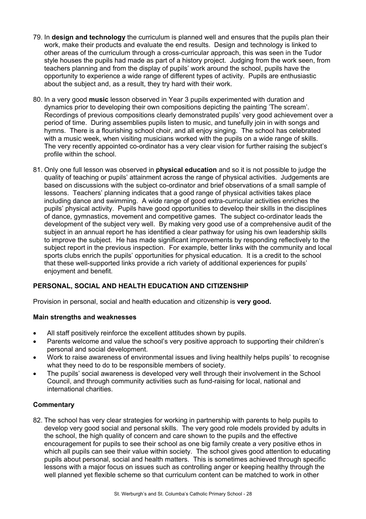- 79. In **design and technology** the curriculum is planned well and ensures that the pupils plan their work, make their products and evaluate the end results. Design and technology is linked to other areas of the curriculum through a cross-curricular approach, this was seen in the Tudor style houses the pupils had made as part of a history project. Judging from the work seen, from teachers planning and from the display of pupils' work around the school, pupils have the opportunity to experience a wide range of different types of activity. Pupils are enthusiastic about the subject and, as a result, they try hard with their work.
- 80. In a very good **music** lesson observed in Year 3 pupils experimented with duration and dynamics prior to developing their own compositions depicting the painting 'The scream'. Recordings of previous compositions clearly demonstrated pupils' very good achievement over a period of time. During assemblies pupils listen to music, and tunefully join in with songs and hymns. There is a flourishing school choir, and all enjoy singing. The school has celebrated with a music week, when visiting musicians worked with the pupils on a wide range of skills. The very recently appointed co-ordinator has a very clear vision for further raising the subject's profile within the school.
- 81. Only one full lesson was observed in **physical education** and so it is not possible to judge the quality of teaching or pupils' attainment across the range of physical activities. Judgements are based on discussions with the subject co-ordinator and brief observations of a small sample of lessons. Teachers' planning indicates that a good range of physical activities takes place including dance and swimming. A wide range of good extra-curricular activities enriches the pupils' physical activity. Pupils have good opportunities to develop their skills in the disciplines of dance, gymnastics, movement and competitive games. The subject co-ordinator leads the development of the subject very well. By making very good use of a comprehensive audit of the subject in an annual report he has identified a clear pathway for using his own leadership skills to improve the subject. He has made significant improvements by responding reflectively to the subject report in the previous inspection. For example, better links with the community and local sports clubs enrich the pupils' opportunities for physical education. It is a credit to the school that these well-supported links provide a rich variety of additional experiences for pupils' enjoyment and benefit.

## **PERSONAL, SOCIAL AND HEALTH EDUCATION AND CITIZENSHIP**

Provision in personal, social and health education and citizenship is **very good.** 

## **Main strengths and weaknesses**

- All staff positively reinforce the excellent attitudes shown by pupils.
- Parents welcome and value the school's very positive approach to supporting their children's personal and social development.
- Work to raise awareness of environmental issues and living healthily helps pupils' to recognise what they need to do to be responsible members of society.
- The pupils' social awareness is developed very well through their involvement in the School Council, and through community activities such as fund-raising for local, national and international charities.

## **Commentary**

82. The school has very clear strategies for working in partnership with parents to help pupils to develop very good social and personal skills. The very good role models provided by adults in the school, the high quality of concern and care shown to the pupils and the effective encouragement for pupils to see their school as one big family create a very positive ethos in which all pupils can see their value within society. The school gives good attention to educating pupils about personal, social and health matters. This is sometimes achieved through specific lessons with a major focus on issues such as controlling anger or keeping healthy through the well planned yet flexible scheme so that curriculum content can be matched to work in other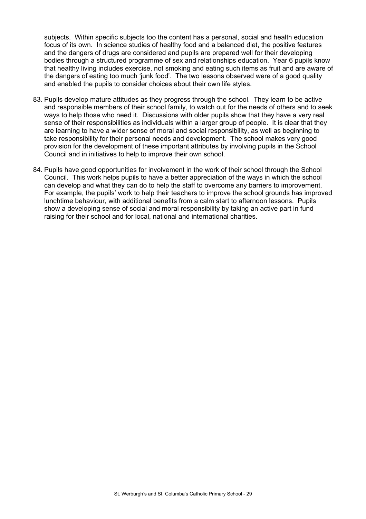subjects. Within specific subjects too the content has a personal, social and health education focus of its own. In science studies of healthy food and a balanced diet, the positive features and the dangers of drugs are considered and pupils are prepared well for their developing bodies through a structured programme of sex and relationships education. Year 6 pupils know that healthy living includes exercise, not smoking and eating such items as fruit and are aware of the dangers of eating too much 'junk food'. The two lessons observed were of a good quality and enabled the pupils to consider choices about their own life styles.

- 83. Pupils develop mature attitudes as they progress through the school. They learn to be active and responsible members of their school family, to watch out for the needs of others and to seek ways to help those who need it. Discussions with older pupils show that they have a very real sense of their responsibilities as individuals within a larger group of people. It is clear that they are learning to have a wider sense of moral and social responsibility, as well as beginning to take responsibility for their personal needs and development. The school makes very good provision for the development of these important attributes by involving pupils in the School Council and in initiatives to help to improve their own school.
- 84. Pupils have good opportunities for involvement in the work of their school through the School Council. This work helps pupils to have a better appreciation of the ways in which the school can develop and what they can do to help the staff to overcome any barriers to improvement. For example, the pupils' work to help their teachers to improve the school grounds has improved lunchtime behaviour, with additional benefits from a calm start to afternoon lessons. Pupils show a developing sense of social and moral responsibility by taking an active part in fund raising for their school and for local, national and international charities.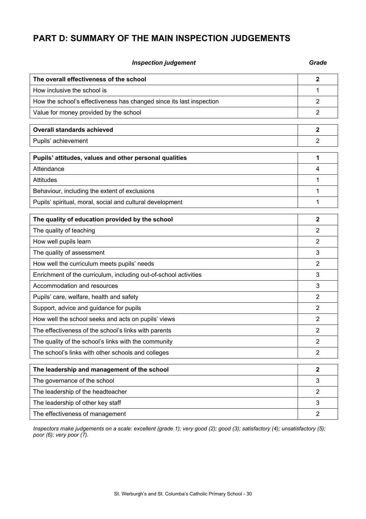# **PART D: SUMMARY OF THE MAIN INSPECTION JUDGEMENTS**

| <b>Inspection judgement</b>                                          | Grade          |
|----------------------------------------------------------------------|----------------|
| The overall effectiveness of the school                              | $\mathbf{2}$   |
| How inclusive the school is                                          | 1              |
| How the school's effectiveness has changed since its last inspection | $\overline{2}$ |
| Value for money provided by the school                               | $\overline{2}$ |
| <b>Overall standards achieved</b>                                    | $\mathbf 2$    |
| Pupils' achievement                                                  | $\overline{2}$ |
| Pupils' attitudes, values and other personal qualities               | 1              |
| Attendance                                                           | 4              |
| <b>Attitudes</b>                                                     | 1              |
| Behaviour, including the extent of exclusions                        | 1              |
| Pupils' spiritual, moral, social and cultural development            | 1              |
| The quality of education provided by the school                      | $\mathbf{2}$   |
| The quality of teaching                                              | 2              |
| How well pupils learn                                                | 2              |
| The quality of assessment                                            | 3              |
| How well the curriculum meets pupils' needs                          | 2              |
| Enrichment of the curriculum, including out-of-school activities     | 3              |
| Accommodation and resources                                          | 3              |
| Pupils' care, welfare, health and safety                             | 2              |
| Support, advice and guidance for pupils                              | 2              |
| How well the school seeks and acts on pupils' views                  | 2              |
| The effectiveness of the school's links with parents                 | 2              |
| The quality of the school's links with the community                 | 2              |
| The school's links with other schools and colleges                   | $\overline{2}$ |
| The leadership and management of the school                          | $\mathbf 2$    |
| The governance of the school                                         | 3              |
| The leadership of the headteacher                                    | $\overline{2}$ |
| The leadership of other key staff                                    | 3              |
| The effectiveness of management                                      | $\overline{2}$ |

*Inspectors make judgements on a scale: excellent (grade 1); very good (2); good (3); satisfactory (4); unsatisfactory (5); poor (6); very poor (7).*